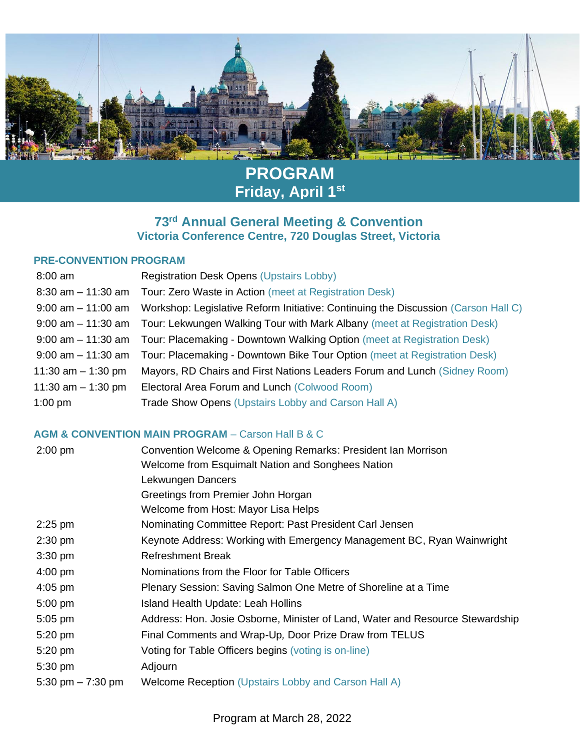

## **PROGRAM Friday, April 1st**

### **73 rd Annual General Meeting & Convention Victoria Conference Centre, 720 Douglas Street, Victoria**

#### **PRE-CONVENTION PROGRAM**

| <b>Registration Desk Opens (Upstairs Lobby)</b>                                                    |
|----------------------------------------------------------------------------------------------------|
| Tour: Zero Waste in Action (meet at Registration Desk)<br>8:30 am - 11:30 am                       |
| Workshop: Legislative Reform Initiative: Continuing the Discussion (Carson Hall C)                 |
| 9:00 am – 11:30 am Tour: Lekwungen Walking Tour with Mark Albany (meet at Registration Desk)       |
| 9:00 am - 11:30 am Tour: Placemaking - Downtown Walking Option (meet at Registration Desk)         |
| Tour: Placemaking - Downtown Bike Tour Option (meet at Registration Desk)<br>$9:00$ am $-11:30$ am |
| Mayors, RD Chairs and First Nations Leaders Forum and Lunch (Sidney Room)                          |
| Electoral Area Forum and Lunch (Colwood Room)                                                      |
| Trade Show Opens (Upstairs Lobby and Carson Hall A)                                                |
|                                                                                                    |

### **AGM & CONVENTION MAIN PROGRAM** – Carson Hall B & C

| $2:00$ pm          | Convention Welcome & Opening Remarks: President Ian Morrison                  |
|--------------------|-------------------------------------------------------------------------------|
|                    | Welcome from Esquimalt Nation and Songhees Nation                             |
|                    | Lekwungen Dancers                                                             |
|                    | Greetings from Premier John Horgan                                            |
|                    | Welcome from Host: Mayor Lisa Helps                                           |
| $2:25$ pm          | Nominating Committee Report: Past President Carl Jensen                       |
| $2:30$ pm          | Keynote Address: Working with Emergency Management BC, Ryan Wainwright        |
| $3:30$ pm          | <b>Refreshment Break</b>                                                      |
| $4:00$ pm          | Nominations from the Floor for Table Officers                                 |
| $4:05$ pm          | Plenary Session: Saving Salmon One Metre of Shoreline at a Time               |
| $5:00$ pm          | Island Health Update: Leah Hollins                                            |
| $5:05$ pm          | Address: Hon. Josie Osborne, Minister of Land, Water and Resource Stewardship |
| 5:20 pm            | Final Comments and Wrap-Up, Door Prize Draw from TELUS                        |
| 5:20 pm            | Voting for Table Officers begins (voting is on-line)                          |
| 5:30 pm            | Adjourn                                                                       |
| 5:30 pm $-7:30$ pm | Welcome Reception (Upstairs Lobby and Carson Hall A)                          |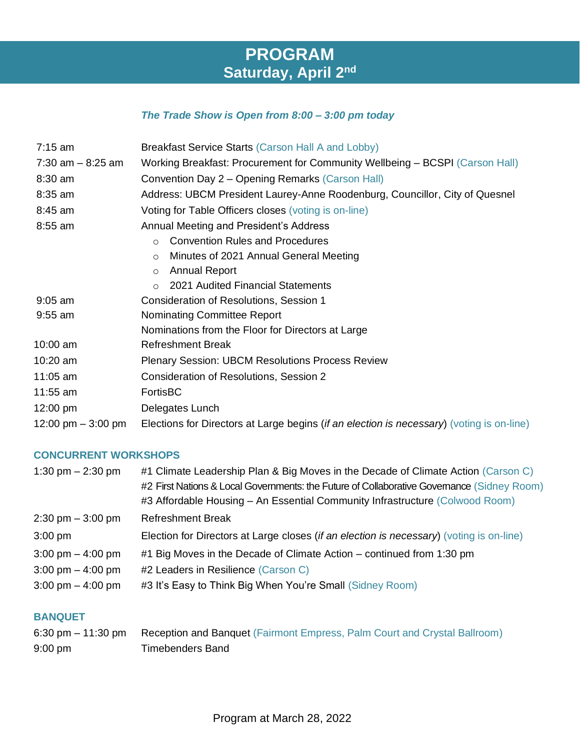## **PROGRAM Saturday, April 2nd**

### *The Trade Show is Open from 8:00 – 3:00 pm today*

| $7:15$ am            | Breakfast Service Starts (Carson Hall A and Lobby)                                        |  |  |
|----------------------|-------------------------------------------------------------------------------------------|--|--|
| 7:30 am $-$ 8:25 am  | Working Breakfast: Procurement for Community Wellbeing - BCSPI (Carson Hall)              |  |  |
| $8:30$ am            | Convention Day 2 – Opening Remarks (Carson Hall)                                          |  |  |
| $8:35$ am            | Address: UBCM President Laurey-Anne Roodenburg, Councillor, City of Quesnel               |  |  |
| $8:45$ am            | Voting for Table Officers closes (voting is on-line)                                      |  |  |
| $8:55$ am            | Annual Meeting and President's Address                                                    |  |  |
|                      | <b>Convention Rules and Procedures</b><br>$\circ$                                         |  |  |
|                      | Minutes of 2021 Annual General Meeting<br>$\circ$                                         |  |  |
|                      | <b>Annual Report</b><br>$\circ$                                                           |  |  |
|                      | 2021 Audited Financial Statements<br>$\circ$                                              |  |  |
| $9:05$ am            | Consideration of Resolutions, Session 1                                                   |  |  |
| $9:55$ am            | Nominating Committee Report                                                               |  |  |
|                      | Nominations from the Floor for Directors at Large                                         |  |  |
| $10:00$ am           | <b>Refreshment Break</b>                                                                  |  |  |
| $10:20$ am           | Plenary Session: UBCM Resolutions Process Review                                          |  |  |
| $11:05$ am           | Consideration of Resolutions, Session 2                                                   |  |  |
| 11:55 $am$           | FortisBC                                                                                  |  |  |
| $12:00 \text{ pm}$   | Delegates Lunch                                                                           |  |  |
| 12:00 pm $-$ 3:00 pm | Elections for Directors at Large begins (if an election is necessary) (voting is on-line) |  |  |

#### **CONCURRENT WORKSHOPS**

| #1 Climate Leadership Plan & Big Moves in the Decade of Climate Action (Carson C)          |
|--------------------------------------------------------------------------------------------|
| #2 First Nations & Local Governments: the Future of Collaborative Governance (Sidney Room) |
| #3 Affordable Housing - An Essential Community Infrastructure (Colwood Room)               |
| <b>Refreshment Break</b>                                                                   |
| Election for Directors at Large closes (if an election is necessary) (voting is on-line)   |
| #1 Big Moves in the Decade of Climate Action – continued from 1:30 pm                      |
| #2 Leaders in Resilience (Carson C)                                                        |
| #3 It's Easy to Think Big When You're Small (Sidney Room)                                  |
|                                                                                            |

#### **BANQUET**

|                   | 6:30 pm – 11:30 pm Reception and Banquet (Fairmont Empress, Palm Court and Crystal Ballroom) |
|-------------------|----------------------------------------------------------------------------------------------|
| $9:00 \text{ pm}$ | Timebenders Band                                                                             |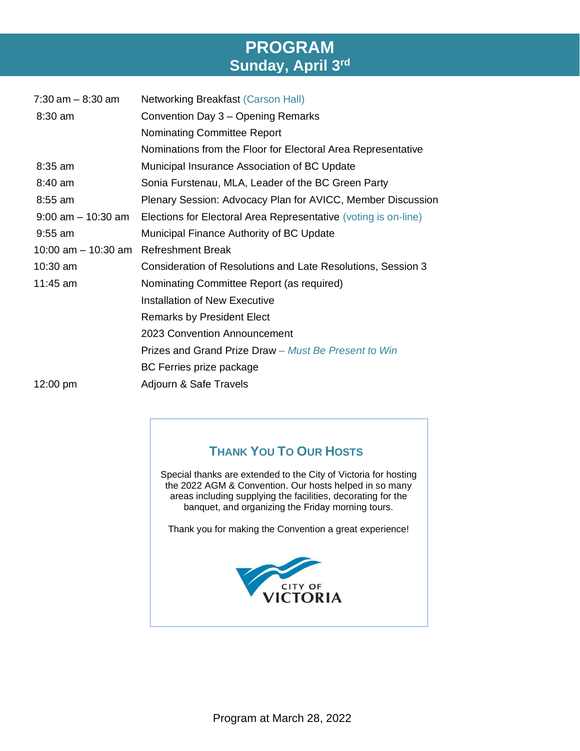## **PROGRAM Sunday, April 3 rd**

| $7:30$ am $-8:30$ am  | <b>Networking Breakfast (Carson Hall)</b>                       |
|-----------------------|-----------------------------------------------------------------|
| 8:30 am               | Convention Day 3 – Opening Remarks                              |
|                       | <b>Nominating Committee Report</b>                              |
|                       | Nominations from the Floor for Electoral Area Representative    |
| $8:35$ am             | Municipal Insurance Association of BC Update                    |
| 8:40 am               | Sonia Furstenau, MLA, Leader of the BC Green Party              |
| 8:55 am               | Plenary Session: Advocacy Plan for AVICC, Member Discussion     |
| $9:00$ am $-10:30$ am | Elections for Electoral Area Representative (voting is on-line) |
| $9:55$ am             | Municipal Finance Authority of BC Update                        |
| 10:00 am $-$ 10:30 am | <b>Refreshment Break</b>                                        |
| $10:30$ am            | Consideration of Resolutions and Late Resolutions, Session 3    |
| 11:45 am              | Nominating Committee Report (as required)                       |
|                       | Installation of New Executive                                   |
|                       | <b>Remarks by President Elect</b>                               |
|                       | 2023 Convention Announcement                                    |
|                       | Prizes and Grand Prize Draw – Must Be Present to Win            |
|                       | BC Ferries prize package                                        |
| 12:00 pm              | Adjourn & Safe Travels                                          |

### **THANK YOU TO OUR HOSTS**

Special thanks are extended to the City of Victoria for hosting the 2022 AGM & Convention. Our hosts helped in so many areas including supplying the facilities, decorating for the banquet, and organizing the Friday morning tours.

Thank you for making the Convention a great experience!

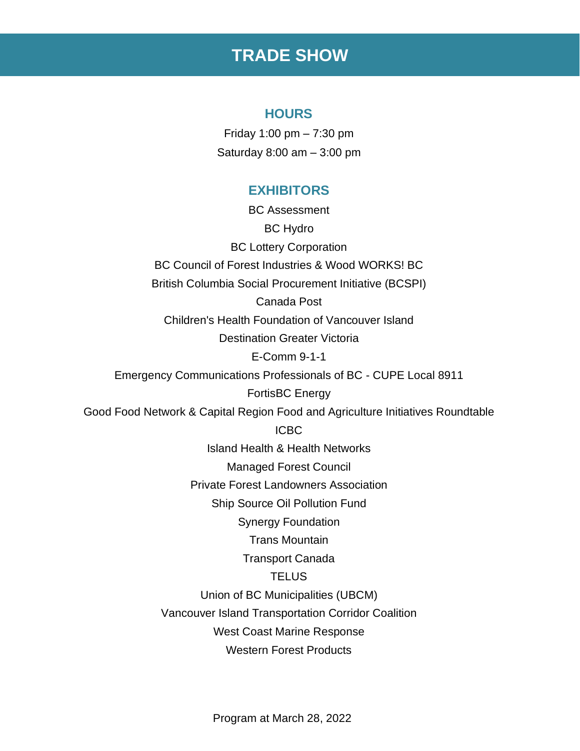## **TRADE SHOW**

### **HOURS**

Friday 1:00 pm – 7:30 pm Saturday 8:00 am – 3:00 pm

### **EXHIBITORS**

BC Assessment BC Hydro BC Lottery Corporation BC Council of Forest Industries & Wood WORKS! BC British Columbia Social Procurement Initiative (BCSPI) Canada Post Children's Health Foundation of Vancouver Island Destination Greater Victoria E-Comm 9-1-1 Emergency Communications Professionals of BC - CUPE Local 8911 FortisBC Energy Good Food Network & Capital Region Food and Agriculture Initiatives Roundtable ICBC Island Health & Health Networks Managed Forest Council Private Forest Landowners Association Ship Source Oil Pollution Fund Synergy Foundation Trans Mountain Transport Canada **TELUS** Union of BC Municipalities (UBCM) Vancouver Island Transportation Corridor Coalition West Coast Marine Response Western Forest Products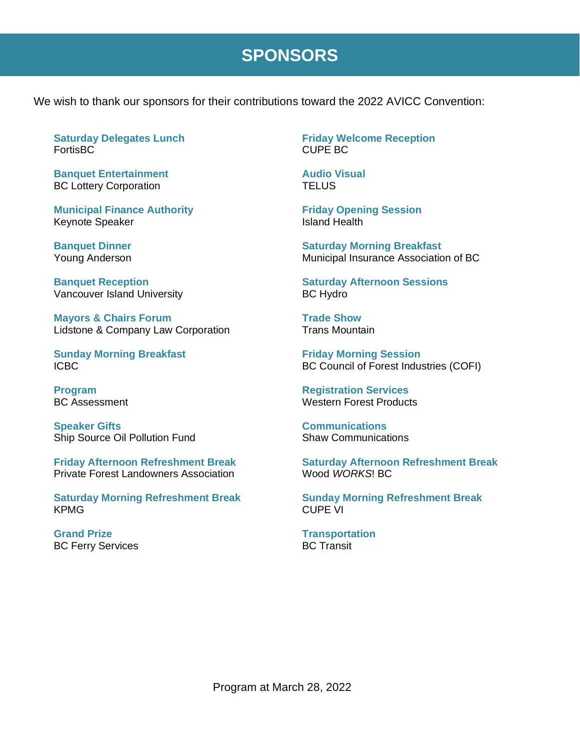## **SPONSORS**

We wish to thank our sponsors for their contributions toward the 2022 AVICC Convention:

**Saturday Delegates Lunch** FortisBC

**Banquet Entertainment** BC Lottery Corporation

**Municipal Finance Authority** Keynote Speaker

**Banquet Dinner** Young Anderson

**Banquet Reception** Vancouver Island University

**Mayors & Chairs Forum** Lidstone & Company Law Corporation

**Sunday Morning Breakfast** ICBC

**Program** BC Assessment

**Speaker Gifts** Ship Source Oil Pollution Fund

**Friday Afternoon Refreshment Break** Private Forest Landowners Association

**Saturday Morning Refreshment Break** KPMG

**Grand Prize** BC Ferry Services **Friday Welcome Reception** CUPE BC

**Audio Visual TELUS** 

**Friday Opening Session** Island Health

**Saturday Morning Breakfast** Municipal Insurance Association of BC

**Saturday Afternoon Sessions** BC Hydro

**Trade Show** Trans Mountain

**Friday Morning Session** BC Council of Forest Industries (COFI)

**Registration Services** Western Forest Products

**Communications** Shaw Communications

**Saturday Afternoon Refreshment Break** Wood *WORKS*! BC

**Sunday Morning Refreshment Break** CUPE VI

**Transportation** BC Transit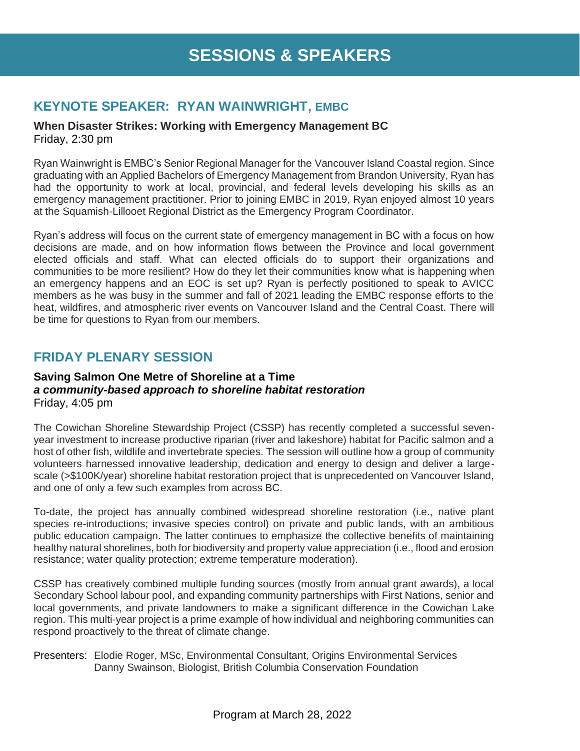### **KEYNOTE SPEAKER: RYAN WAINWRIGHT, EMBC**

**When Disaster Strikes: Working with Emergency Management BC** Friday, 2:30 pm

Ryan Wainwright is EMBC's Senior Regional Manager for the Vancouver Island Coastal region. Since graduating with an Applied Bachelors of Emergency Management from Brandon University, Ryan has had the opportunity to work at local, provincial, and federal levels developing his skills as an emergency management practitioner. Prior to joining EMBC in 2019, Ryan enjoyed almost 10 years at the Squamish-Lillooet Regional District as the Emergency Program Coordinator.

Ryan's address will focus on the current state of emergency management in BC with a focus on how decisions are made, and on how information flows between the Province and local government elected officials and staff. What can elected officials do to support their organizations and communities to be more resilient? How do they let their communities know what is happening when an emergency happens and an EOC is set up? Ryan is perfectly positioned to speak to AVICC members as he was busy in the summer and fall of 2021 leading the EMBC response efforts to the heat, wildfires, and atmospheric river events on Vancouver Island and the Central Coast. There will be time for questions to Ryan from our members.

### **FRIDAY PLENARY SESSION**

#### **Saving Salmon One Metre of Shoreline at a Time** *a community-based approach to shoreline habitat restoration* Friday, 4:05 pm

The Cowichan Shoreline Stewardship Project (CSSP) has recently completed a successful sevenyear investment to increase productive riparian (river and lakeshore) habitat for Pacific salmon and a host of other fish, wildlife and invertebrate species. The session will outline how a group of community volunteers harnessed innovative leadership, dedication and energy to design and deliver a largescale (>\$100K/year) shoreline habitat restoration project that is unprecedented on Vancouver Island, and one of only a few such examples from across BC.

To-date, the project has annually combined widespread shoreline restoration (i.e., native plant species re-introductions; invasive species control) on private and public lands, with an ambitious public education campaign. The latter continues to emphasize the collective benefits of maintaining healthy natural shorelines, both for biodiversity and property value appreciation (i.e., flood and erosion resistance; water quality protection; extreme temperature moderation).

CSSP has creatively combined multiple funding sources (mostly from annual grant awards), a local Secondary School labour pool, and expanding community partnerships with First Nations, senior and local governments, and private landowners to make a significant difference in the Cowichan Lake region. This multi-year project is a prime example of how individual and neighboring communities can respond proactively to the threat of climate change.

Presenters: Elodie Roger, MSc, Environmental Consultant, Origins Environmental Services Danny Swainson, Biologist, British Columbia Conservation Foundation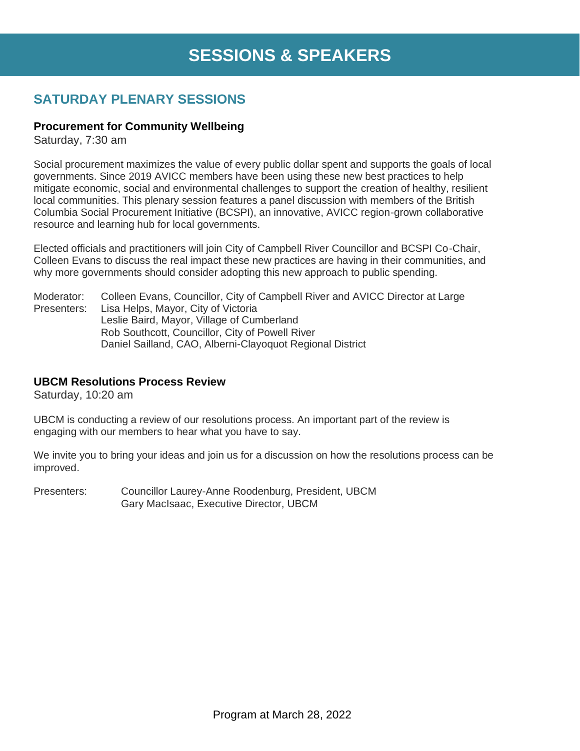# **SESSIONS & SPEAKERS**

### **SATURDAY PLENARY SESSIONS**

### **Procurement for Community Wellbeing**

Saturday, 7:30 am

Social procurement maximizes the value of every public dollar spent and supports the goals of local governments. Since 2019 AVICC members have been using these new best practices to help mitigate economic, social and environmental challenges to support the creation of healthy, resilient local communities. This plenary session features a panel discussion with members of the British Columbia Social Procurement Initiative (BCSPI), an innovative, AVICC region-grown collaborative resource and learning hub for local governments.

Elected officials and practitioners will join City of Campbell River Councillor and BCSPI Co-Chair, Colleen Evans to discuss the real impact these new practices are having in their communities, and why more governments should consider adopting this new approach to public spending.

Moderator: Colleen Evans, Councillor, City of Campbell River and AVICC Director at Large Presenters: Lisa Helps, Mayor, City of Victoria Leslie Baird, Mayor, Village of Cumberland Rob Southcott, Councillor, City of Powell River Daniel Sailland, CAO, Alberni-Clayoquot Regional District

### **UBCM Resolutions Process Review**

Saturday, 10:20 am

UBCM is conducting a review of our resolutions process. An important part of the review is engaging with our members to hear what you have to say.

We invite you to bring your ideas and join us for a discussion on how the resolutions process can be improved.

Presenters: Councillor Laurey-Anne Roodenburg, President, UBCM Gary MacIsaac, Executive Director, UBCM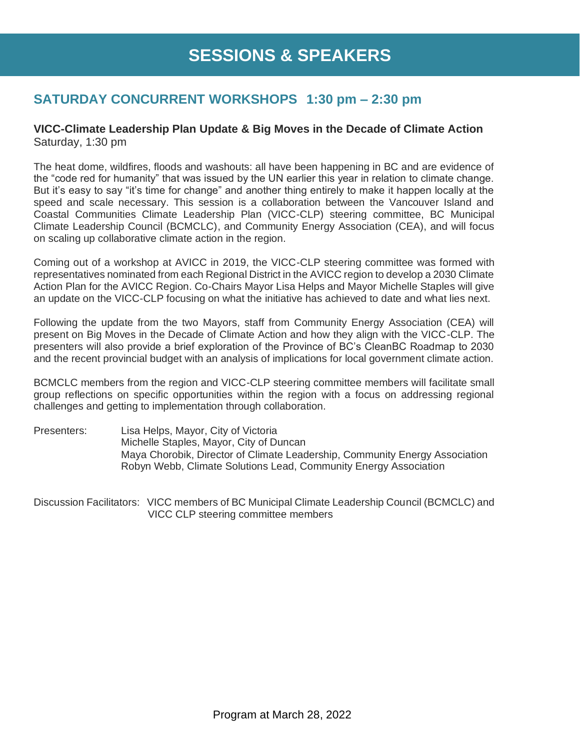### **SATURDAY CONCURRENT WORKSHOPS 1:30 pm – 2:30 pm**

#### **VICC-Climate Leadership Plan Update & Big Moves in the Decade of Climate Action** Saturday, 1:30 pm

The heat dome, wildfires, floods and washouts: all have been happening in BC and are evidence of the "code red for humanity" that was issued by the UN earlier this year in relation to climate change. But it's easy to say "it's time for change" and another thing entirely to make it happen locally at the speed and scale necessary. This session is a collaboration between the Vancouver Island and Coastal Communities Climate Leadership Plan (VICC-CLP) steering committee, BC Municipal Climate Leadership Council (BCMCLC), and Community Energy Association (CEA), and will focus on scaling up collaborative climate action in the region.

Coming out of a workshop at AVICC in 2019, the VICC-CLP steering committee was formed with representatives nominated from each Regional District in the AVICC region to develop a 2030 Climate Action Plan for the AVICC Region. Co-Chairs Mayor Lisa Helps and Mayor Michelle Staples will give an update on the VICC-CLP focusing on what the initiative has achieved to date and what lies next.

Following the update from the two Mayors, staff from Community Energy Association (CEA) will present on Big Moves in the Decade of Climate Action and how they align with the VICC-CLP. The presenters will also provide a brief exploration of the Province of BC's CleanBC Roadmap to 2030 and the recent provincial budget with an analysis of implications for local government climate action.

BCMCLC members from the region and VICC-CLP steering committee members will facilitate small group reflections on specific opportunities within the region with a focus on addressing regional challenges and getting to implementation through collaboration.

Presenters: Lisa Helps, Mayor, City of Victoria Michelle Staples, Mayor, City of Duncan Maya Chorobik, Director of Climate Leadership, Community Energy Association Robyn Webb, Climate Solutions Lead, Community Energy Association

Discussion Facilitators: VICC members of BC Municipal Climate Leadership Council (BCMCLC) and VICC CLP steering committee members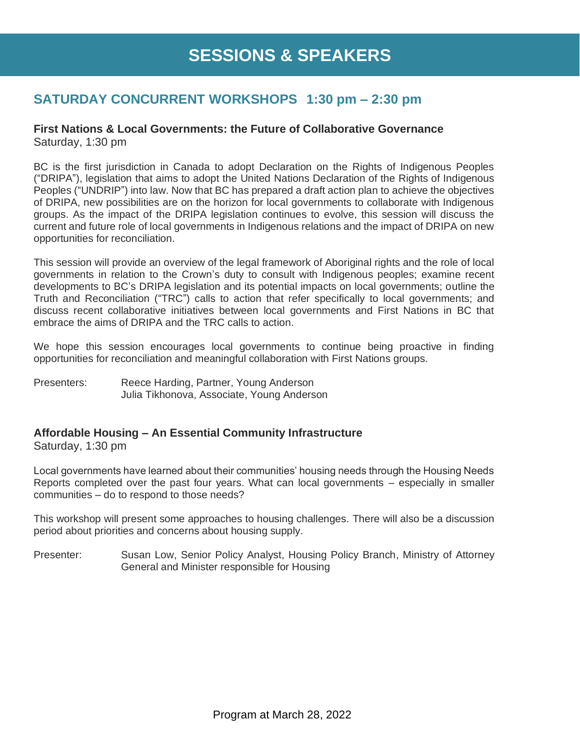### **SATURDAY CONCURRENT WORKSHOPS 1:30 pm – 2:30 pm**

#### **First Nations & Local Governments: the Future of Collaborative Governance**  Saturday, 1:30 pm

BC is the first jurisdiction in Canada to adopt Declaration on the Rights of Indigenous Peoples ("DRIPA"), legislation that aims to adopt the United Nations Declaration of the Rights of Indigenous Peoples ("UNDRIP") into law. Now that BC has prepared a draft action plan to achieve the objectives of DRIPA, new possibilities are on the horizon for local governments to collaborate with Indigenous groups. As the impact of the DRIPA legislation continues to evolve, this session will discuss the current and future role of local governments in Indigenous relations and the impact of DRIPA on new opportunities for reconciliation.

This session will provide an overview of the legal framework of Aboriginal rights and the role of local governments in relation to the Crown's duty to consult with Indigenous peoples; examine recent developments to BC's DRIPA legislation and its potential impacts on local governments; outline the Truth and Reconciliation ("TRC") calls to action that refer specifically to local governments; and discuss recent collaborative initiatives between local governments and First Nations in BC that embrace the aims of DRIPA and the TRC calls to action.

We hope this session encourages local governments to continue being proactive in finding opportunities for reconciliation and meaningful collaboration with First Nations groups.

Presenters: Reece Harding, Partner, Young Anderson Julia Tikhonova, Associate, Young Anderson

### **Affordable Housing – An Essential Community Infrastructure**

Saturday, 1:30 pm

Local governments have learned about their communities' housing needs through the Housing Needs Reports completed over the past four years. What can local governments – especially in smaller communities – do to respond to those needs?

This workshop will present some approaches to housing challenges. There will also be a discussion period about priorities and concerns about housing supply.

Presenter: Susan Low, Senior Policy Analyst, Housing Policy Branch, Ministry of Attorney General and Minister responsible for Housing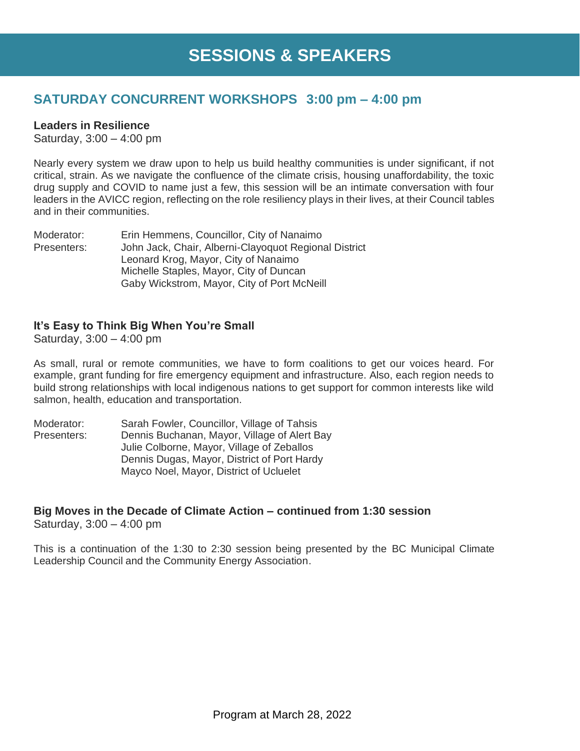### **SATURDAY CONCURRENT WORKSHOPS 3:00 pm – 4:00 pm**

#### **Leaders in Resilience**

Saturday, 3:00 – 4:00 pm

Nearly every system we draw upon to help us build healthy communities is under significant, if not critical, strain. As we navigate the confluence of the climate crisis, housing unaffordability, the toxic drug supply and COVID to name just a few, this session will be an intimate conversation with four leaders in the AVICC region, reflecting on the role resiliency plays in their lives, at their Council tables and in their communities.

Moderator: Erin Hemmens, Councillor, City of Nanaimo Presenters: John Jack, Chair, Alberni-Clayoquot Regional District Leonard Krog, Mayor, City of Nanaimo Michelle Staples, Mayor, City of Duncan Gaby Wickstrom, Mayor, City of Port McNeill

### **It's Easy to Think Big When You're Small**

Saturday, 3:00 – 4:00 pm

As small, rural or remote communities, we have to form coalitions to get our voices heard. For example, grant funding for fire emergency equipment and infrastructure. Also, each region needs to build strong relationships with local indigenous nations to get support for common interests like wild salmon, health, education and transportation.

Moderator: Sarah Fowler, Councillor, Village of Tahsis Presenters: Dennis Buchanan, Mayor, Village of Alert Bay Julie Colborne, Mayor, Village of Zeballos Dennis Dugas, Mayor, District of Port Hardy Mayco Noel, Mayor, District of Ucluelet

### **Big Moves in the Decade of Climate Action – continued from 1:30 session**

Saturday, 3:00 – 4:00 pm

This is a continuation of the 1:30 to 2:30 session being presented by the BC Municipal Climate Leadership Council and the Community Energy Association.